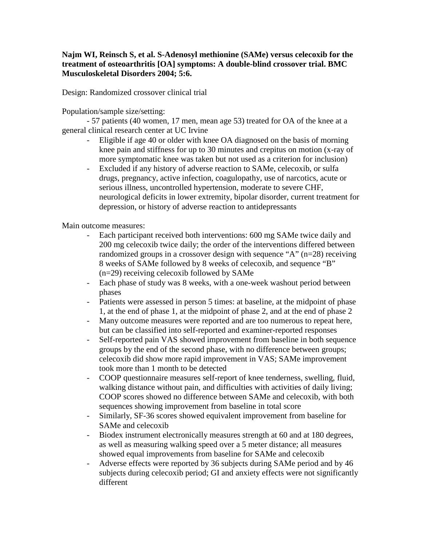## **Najm WI, Reinsch S, et al. S-Adenosyl methionine (SAMe) versus celecoxib for the treatment of osteoarthritis [OA] symptoms: A double-blind crossover trial. BMC Musculoskeletal Disorders 2004; 5:6.**

Design: Randomized crossover clinical trial

Population/sample size/setting:

- 57 patients (40 women, 17 men, mean age 53) treated for OA of the knee at a general clinical research center at UC Irvine

- Eligible if age 40 or older with knee OA diagnosed on the basis of morning knee pain and stiffness for up to 30 minutes and crepitus on motion (x-ray of more symptomatic knee was taken but not used as a criterion for inclusion)
- Excluded if any history of adverse reaction to SAMe, celecoxib, or sulfa drugs, pregnancy, active infection, coagulopathy, use of narcotics, acute or serious illness, uncontrolled hypertension, moderate to severe CHF, neurological deficits in lower extremity, bipolar disorder, current treatment for depression, or history of adverse reaction to antidepressants

Main outcome measures:

- Each participant received both interventions: 600 mg SAMe twice daily and 200 mg celecoxib twice daily; the order of the interventions differed between randomized groups in a crossover design with sequence "A"  $(n=28)$  receiving 8 weeks of SAMe followed by 8 weeks of celecoxib, and sequence "B" (n=29) receiving celecoxib followed by SAMe
- Each phase of study was 8 weeks, with a one-week washout period between phases
- Patients were assessed in person 5 times: at baseline, at the midpoint of phase 1, at the end of phase 1, at the midpoint of phase 2, and at the end of phase 2
- Many outcome measures were reported and are too numerous to repeat here, but can be classified into self-reported and examiner-reported responses
- Self-reported pain VAS showed improvement from baseline in both sequence groups by the end of the second phase, with no difference between groups; celecoxib did show more rapid improvement in VAS; SAMe improvement took more than 1 month to be detected
- COOP questionnaire measures self-report of knee tenderness, swelling, fluid, walking distance without pain, and difficulties with activities of daily living; COOP scores showed no difference between SAMe and celecoxib, with both sequences showing improvement from baseline in total score
- Similarly, SF-36 scores showed equivalent improvement from baseline for SAMe and celecoxib
- Biodex instrument electronically measures strength at 60 and at 180 degrees, as well as measuring walking speed over a 5 meter distance; all measures showed equal improvements from baseline for SAMe and celecoxib
- Adverse effects were reported by 36 subjects during SAMe period and by 46 subjects during celecoxib period; GI and anxiety effects were not significantly different